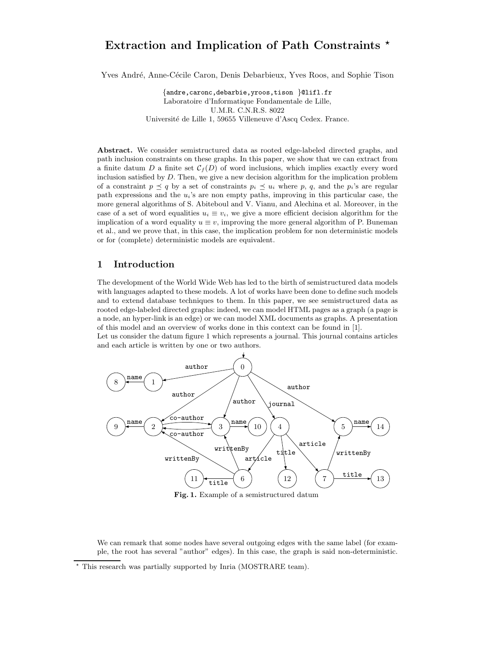# Extraction and Implication of Path Constraints \*

Yves André, Anne-Cécile Caron, Denis Debarbieux, Yves Roos, and Sophie Tison

{andre,caronc,debarbie,yroos,tison }@lifl.fr Laboratoire d'Informatique Fondamentale de Lille, U.M.R. C.N.R.S. 8022 Université de Lille 1, 59655 Villeneuve d'Ascq Cedex. France.

Abstract. We consider semistructured data as rooted edge-labeled directed graphs, and path inclusion constraints on these graphs. In this paper, we show that we can extract from a finite datum  $D$  a finite set  $C_f(D)$  of word inclusions, which implies exactly every word inclusion satisfied by  $D$ . Then, we give a new decision algorithm for the implication problem of a constraint  $p \preceq q$  by a set of constraints  $p_i \preceq u_i$  where p, q, and the  $p_i$ 's are regular path expressions and the  $u_i$ 's are non empty paths, improving in this particular case, the more general algorithms of S. Abiteboul and V. Vianu, and Alechina et al. Moreover, in the case of a set of word equalities  $u_i \equiv v_i$ , we give a more efficient decision algorithm for the implication of a word equality  $u \equiv v$ , improving the more general algorithm of P. Buneman et al., and we prove that, in this case, the implication problem for non deterministic models or for (complete) deterministic models are equivalent.

## 1 Introduction

The development of the World Wide Web has led to the birth of semistructured data models with languages adapted to these models. A lot of works have been done to define such models and to extend database techniques to them. In this paper, we see semistructured data as rooted edge-labeled directed graphs: indeed, we can model HTML pages as a graph (a page is a node, an hyper-link is an edge) or we can model XML documents as graphs. A presentation of this model and an overview of works done in this context can be found in [1]. Let us consider the datum figure 1 which represents a journal. This journal contains articles



Fig. 1. Example of a semistructured datum

We can remark that some nodes have several outgoing edges with the same label (for example, the root has several "author" edges). In this case, the graph is said non-deterministic.

and each article is written by one or two authors.

<sup>?</sup> This research was partially supported by Inria (MOSTRARE team).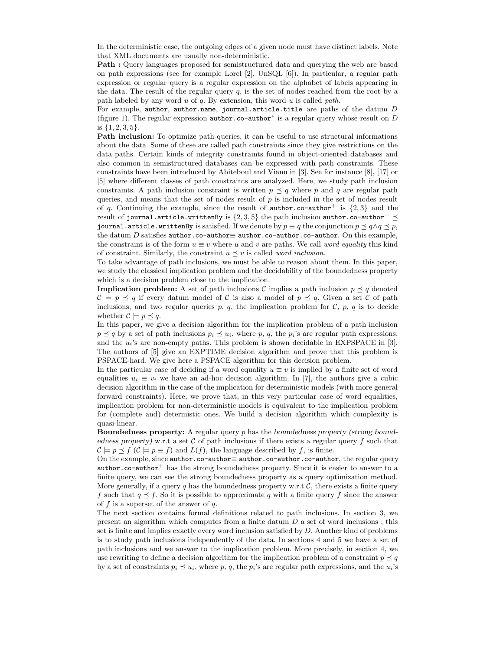In the deterministic case, the outgoing edges of a given node must have distinct labels. Note that XML documents are usually non-deterministic.

Path : Query languages proposed for semistructured data and querying the web are based on path expressions (see for example Lorel [2], UnSQL [6]). In particular, a regular path expression or regular query is a regular expression on the alphabet of labels appearing in the data. The result of the regular query  $q$ , is the set of nodes reached from the root by a path labeled by any word  $u$  of  $q$ . By extension, this word  $u$  is called path.

For example, author, author.name, journal.article.title are paths of the datum  $D$ (figure 1). The regular expression  $\text{author.co}$ - $\text{author}^*$  is a regular query whose result on  $D$ is  $\{1, 2, 3, 5\}.$ 

Path inclusion: To optimize path queries, it can be useful to use structural informations about the data. Some of these are called path constraints since they give restrictions on the data paths. Certain kinds of integrity constraints found in object-oriented databases and also common in semistructured databases can be expressed with path constraints. These constraints have been introduced by Abiteboul and Vianu in [3]. See for instance [8], [17] or [5] where different classes of path constraints are analyzed. Here, we study path inclusion constraints. A path inclusion constraint is written  $p \preceq q$  where p and q are regular path queries, and means that the set of nodes result of  $p$  is included in the set of nodes result of q. Continuing the example, since the result of  $\text{author.co}$ -author<sup>+</sup> is  $\{2,3\}$  and the result of journal.article.writtenBy is  $\{2,3,5\}$  the path inclusion author.co-author+  $\preceq$ journal.article.writtenBy is satisfied. If we denote by  $p \equiv q$  the conjunction  $p \preceq q \land q \preceq p$ , the datum D satisfies author.co-author≡ author.co-author.co-author. On this example, the constraint is of the form  $u \equiv v$  where u and v are paths. We call word equality this kind of constraint. Similarly, the constraint  $u \preceq v$  is called *word inclusion*.

To take advantage of path inclusions, we must be able to reason about them. In this paper, we study the classical implication problem and the decidability of the boundedness property which is a decision problem close to the implication.

**Implication problem:** A set of path inclusions C implies a path inclusion  $p \preceq q$  denoted  $C \models p \preceq q$  if every datum model of C is also a model of  $p \preceq q$ . Given a set C of path inclusions, and two regular queries  $p, q$ , the implication problem for  $C, p, q$  is to decide whether  $C \models p \preceq q$ .

In this paper, we give a decision algorithm for the implication problem of a path inclusion  $p \preceq q$  by a set of path inclusions  $p_i \preceq u_i$ , where p, q, the  $p_i$ 's are regular path expressions, and the  $u_i$ 's are non-empty paths. This problem is shown decidable in EXPSPACE in [3]. The authors of [5] give an EXPTIME decision algorithm and prove that this problem is PSPACE-hard. We give here a PSPACE algorithm for this decision problem.

In the particular case of deciding if a word equality  $u \equiv v$  is implied by a finite set of word equalities  $u_i \equiv v_i$  we have an ad-hoc decision algorithm. In [7], the authors give a cubic decision algorithm in the case of the implication for deterministic models (with more general forward constraints). Here, we prove that, in this very particular case of word equalities, implication problem for non-deterministic models is equivalent to the implication problem for (complete and) determistic ones. We build a decision algorithm which complexity is quasi-linear.

Boundedness property: A regular query p has the boundedness property (strong boundedness property) w.r.t a set  $\mathcal C$  of path inclusions if there exists a regular query f such that  $\mathcal{C} \models p \preceq f \ (\mathcal{C} \models p \equiv f)$  and  $L(f)$ , the language described by f, is finite.

On the example, since author . co-author≡ author . co-author . co-author, the regular query author.co-author<sup>+</sup> has the strong boundedness property. Since it is easier to answer to a finite query, we can see the strong boundedness property as a query optimization method. More generally, if a query  $q$  has the boundedness property w.r.t  $\mathcal{C}$ , there exists a finite query f such that  $q \leq f$ . So it is possible to approximate q with a finite query f since the answer of f is a superset of the answer of  $q$ .

The next section contains formal definitions related to path inclusions. In section 3, we present an algorithm which computes from a finite datum  $D$  a set of word inclusions; this set is finite and implies exactly every word inclusion satisfied by  $D$ . Another kind of problems is to study path inclusions independently of the data. In sections 4 and 5 we have a set of path inclusions and we answer to the implication problem. More precisely, in section 4, we use rewriting to define a decision algorithm for the implication problem of a constraint  $p \preceq q$ by a set of constraints  $p_i \leq u_i$ , where p, q, the  $p_i$ 's are regular path expressions, and the  $u_i$ 's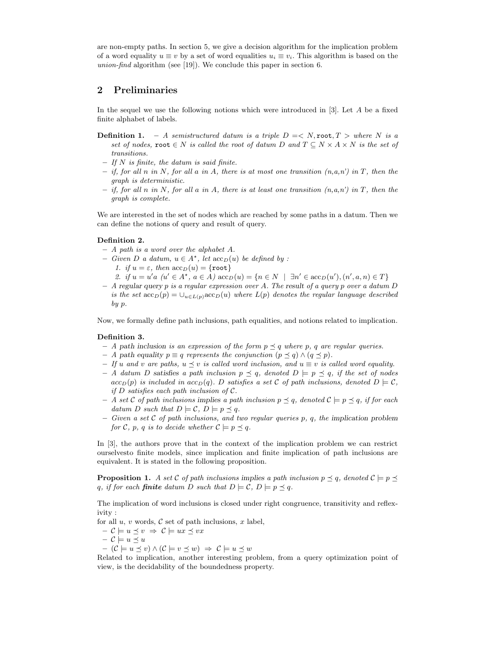are non-empty paths. In section 5, we give a decision algorithm for the implication problem of a word equality  $u \equiv v$  by a set of word equalities  $u_i \equiv v_i$ . This algorithm is based on the union-find algorithm (see [19]). We conclude this paper in section 6.

## 2 Preliminaries

In the sequel we use the following notions which were introduced in  $[3]$ . Let A be a fixed finite alphabet of labels.

- **Definition 1.** A semistructured datum is a triple  $D = \langle N, \text{root}, T \rangle$  where N is a set of nodes, root  $\in N$  is called the root of datum D and  $T \subseteq N \times A \times N$  is the set of transitions.
- $-$  If N is finite, the datum is said finite.
- if, for all n in N, for all a in A, there is at most one transition  $(n,a,n')$  in T, then the graph is deterministic.
- $-$  if, for all n in N, for all a in A, there is at least one transition  $(n,a,n')$  in T, then the graph is complete.

We are interested in the set of nodes which are reached by some paths in a datum. Then we can define the notions of query and result of query.

#### Definition 2.

- $A$  path is a word over the alphabet A.
- − Given D a datum,  $u \in A^*$ , let  $\operatorname{acc}_D(u)$  be defined by : 1. if  $u = \varepsilon$ , then  $\operatorname{acc}_D(u) = \{\texttt{root}\}\$ 2. if  $u = u' a \ (u' \in A^*, a \in A) \text{acc}_D(u) = \{ n \in N \mid \exists n' \in \text{acc}_D(u'), (n', a, n) \in T \}$
- $-$  A regular query p is a regular expression over A. The result of a query p over a datum D is the set  $\operatorname{acc}_D(p) = \bigcup_{u \in L(p)} \operatorname{acc}_D(u)$  where  $L(p)$  denotes the regular language described by p.

Now, we formally define path inclusions, path equalities, and notions related to implication.

#### Definition 3.

- A path inclusion is an expression of the form  $p \preceq q$  where p, q are regular queries.
- A path equality  $p \equiv q$  represents the conjunction  $(p \preceq q) \wedge (q \preceq p)$ .
- If u and v are paths,  $u \preceq v$  is called word inclusion, and  $u \equiv v$  is called word equality.
- A datum D satisfies a path inclusion  $p \preceq q$ , denoted  $D \models p \preceq q$ , if the set of nodes  $acc_D(p)$  is included in  $acc_D(q)$ . D satisfies a set C of path inclusions, denoted  $D \models C$ , if  $D$  satisfies each path inclusion of  $C$ .
- A set C of path inclusions implies a path inclusion  $p \preceq q$ , denoted  $\mathcal{C} \models p \preceq q$ , if for each datum D such that  $D \models C, D \models p \preceq q$ .
- Given a set C of path inclusions, and two regular queries p, q, the implication problem for C, p, q is to decide whether  $C \models p \preceq q$ .

In [3], the authors prove that in the context of the implication problem we can restrict ourselvesto finite models, since implication and finite implication of path inclusions are equivalent. It is stated in the following proposition.

**Proposition 1.** A set C of path inclusions implies a path inclusion  $p \preceq q$ , denoted  $C \models p \preceq q$ q, if for each **finite** datum D such that  $D \models C$ ,  $D \models p \preceq q$ .

The implication of word inclusions is closed under right congruence, transitivity and reflexivity :

for all  $u, v$  words,  $\mathcal C$  set of path inclusions,  $x$  label,

 $- c \models u \preceq v \Rightarrow c \models ux \preceq vx$  $- c \models u \preceq u$ 

$$
- (C \models u \preceq v) \land (C \models v \preceq w) \Rightarrow C \models u \preceq w
$$

Related to implication, another interesting problem, from a query optimization point of view, is the decidability of the boundedness property.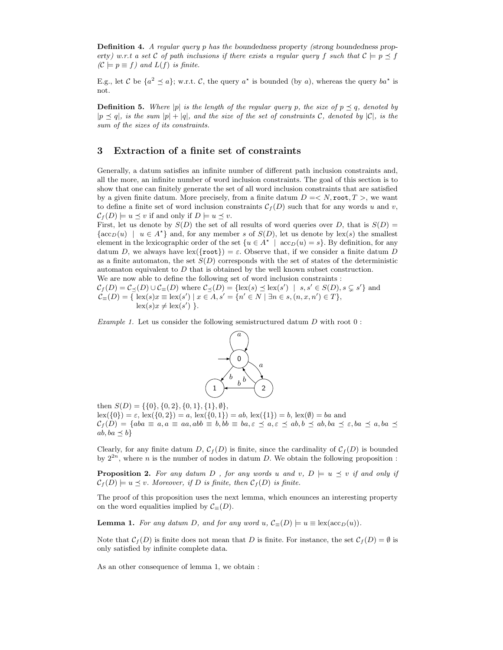**Definition 4.** A regular query p has the boundedness property (strong boundedness property) w.r.t a set C of path inclusions if there exists a regular query f such that  $C \models p \preceq f$  $(C \models p \equiv f)$  and  $L(f)$  is finite.

E.g., let C be  $\{a^2 \leq a\}$ ; w.r.t. C, the query  $a^*$  is bounded (by a), whereas the query  $ba^*$  is not.

**Definition 5.** Where |p| is the length of the regular query p, the size of  $p \preceq q$ , denoted by  $|p \preceq q|$ , is the sum  $|p| + |q|$ , and the size of the set of constraints C, denoted by  $|C|$ , is the sum of the sizes of its constraints.

## 3 Extraction of a finite set of constraints

Generally, a datum satisfies an infinite number of different path inclusion constraints and, all the more, an infinite number of word inclusion constraints. The goal of this section is to show that one can finitely generate the set of all word inclusion constraints that are satisfied by a given finite datum. More precisely, from a finite datum  $D = \langle N, \text{root}, T \rangle$ , we want to define a finite set of word inclusion constraints  $\mathcal{C}_f(D)$  such that for any words u and v,  $\mathcal{C}_f(D) \models u \preceq v$  if and only if  $D \models u \preceq v$ .

First, let us denote by  $S(D)$  the set of all results of word queries over D, that is  $S(D)$  =  $\{\operatorname{acc}_D(u) \mid u \in A^*\}$  and, for any member s of  $S(D)$ , let us denote by  $\operatorname{lex}(s)$  the smallest element in the lexicographic order of the set  $\{u \in A^* \mid \text{acc}_D(u) = s\}$ . By definition, for any datum D, we always have lex( $\{root\}$ ) =  $\varepsilon$ . Observe that, if we consider a finite datum D as a finite automaton, the set  $S(D)$  corresponds with the set of states of the deterministic automaton equivalent to  $D$  that is obtained by the well known subset construction. We are now able to define the following set of word inclusion constraints :

 $\mathcal{C}_f(D) = \mathcal{C}_{\preceq}(D) \cup \mathcal{C}_{\equiv}(D)$  where  $\mathcal{C}_{\preceq}(D) = {\rm{lex}}(s) \preceq {\rm{lex}}(s') \mid s, s' \in S(D), s \subsetneq s' {\rm{ }}$  and  $\mathcal{C}_{\equiv}(D) = \{ \text{ lex}(s)x \equiv \text{lex}(s') \mid x \in A, s' = \{n' \in N \mid \exists n \in s, (n, x, n') \in T \},\}$  $\operatorname{lex}(s)x \neq \operatorname{lex}(s')$  }.

Example 1. Let us consider the following semistructured datum  $D$  with root  $0$ :



then  $S(D) = \{\{0\}, \{0, 2\}, \{0, 1\}, \{1\}, \emptyset\},\$  $\text{lex}(\{0\}) = \varepsilon, \text{ lex}(\{0, 2\}) = a, \text{ lex}(\{0, 1\}) = ab, \text{ lex}(\{1\}) = b, \text{ lex}(\emptyset) = ba$  and  $\mathcal{C}_f(D) = \{aba \equiv a, a \equiv aa, abb \equiv b, bb \equiv ba, \varepsilon \preceq a, \varepsilon \preceq ab, b \preceq ab, ba \preceq \varepsilon, ba \preceq a, ba \preceq a\}$  $ab, ba \preceq b$ 

Clearly, for any finite datum D,  $C_f(D)$  is finite, since the cardinality of  $C_f(D)$  is bounded by  $2^{2n}$ , where *n* is the number of nodes in datum *D*. We obtain the following proposition :

**Proposition 2.** For any datum D, for any words u and v,  $D \models u \preceq v$  if and only if  $\mathcal{C}_f(D) \models u \preceq v$ . Moreover, if D is finite, then  $\mathcal{C}_f(D)$  is finite.

The proof of this proposition uses the next lemma, which enounces an interesting property on the word equalities implied by  $\mathcal{C}$ <sub>≡</sub>(D).

**Lemma 1.** For any datum D, and for any word  $u, \mathcal{C}_{\equiv}(D) \models u \equiv \text{lex}(\text{acc}_D(u)).$ 

Note that  $\mathcal{C}_f(D)$  is finite does not mean that D is finite. For instance, the set  $\mathcal{C}_f(D) = \emptyset$  is only satisfied by infinite complete data.

As an other consequence of lemma 1, we obtain :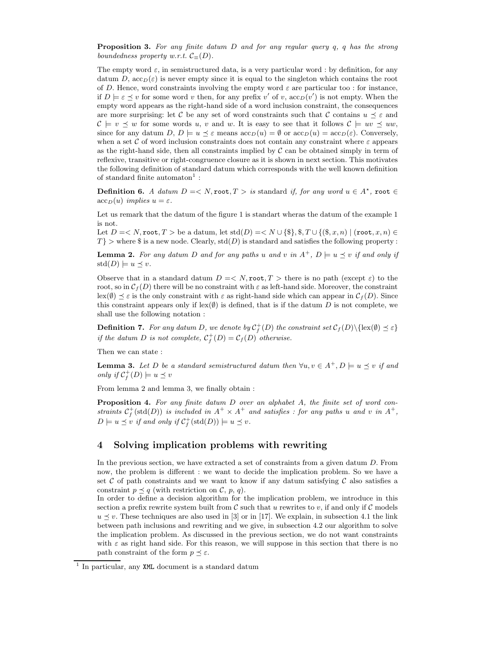**Proposition 3.** For any finite datum  $D$  and for any regular query  $q$ ,  $q$  has the strong boundedness property w.r.t.  $\mathcal{C}_{\equiv}(D)$ .

The empty word  $\varepsilon$ , in semistructured data, is a very particular word : by definition, for any datum D,  $\arccos_{D}(\varepsilon)$  is never empty since it is equal to the singleton which contains the root of D. Hence, word constraints involving the empty word  $\varepsilon$  are particular too : for instance, if  $D \models \varepsilon \preceq v$  for some word v then, for any prefix v' of v,  $\operatorname{acc}_D(v')$  is not empty. When the empty word appears as the right-hand side of a word inclusion constraint, the consequences are more surprising: let C be any set of word constraints such that C contains  $u \preceq \varepsilon$  and  $\mathcal{C} \models v \prec w$  for some words u, v and w. It is easy to see that it follows  $\mathcal{C} \models uv \prec uw$ , since for any datum  $D, D \models u \preceq \varepsilon$  means  $\operatorname{acc}_D(u) = \emptyset$  or  $\operatorname{acc}_D(u) = \operatorname{acc}_D(\varepsilon)$ . Conversely, when a set C of word inclusion constraints does not contain any constraint where  $\varepsilon$  appears as the right-hand side, then all constraints implied by  $\mathcal C$  can be obtained simply in term of reflexive, transitive or right-congruence closure as it is shown in next section. This motivates the following definition of standard datum which corresponds with the well known definition of standard finite automaton<sup>1</sup>:

**Definition 6.** A datum  $D = \langle N, \text{root}, T \rangle$  is standard if, for any word  $u \in A^*$ , root  $\in$  $\mathrm{acc}_D(u)$  implies  $u = \varepsilon$ .

Let us remark that the datum of the figure 1 is standart wheras the datum of the example 1 is not.

Let  $D = \langle N, \text{root}, T \rangle$  be a datum, let  $\text{std}(D) = \langle N \cup \{\$\}, \$\, T \cup \{(\$\, x, n\}) \mid (\text{root}, x, n) \in$  $T\}$  > where \$ is a new node. Clearly, std(D) is standard and satisfies the following property :

**Lemma 2.** For any datum D and for any paths u and v in  $A^+$ ,  $D \models u \preceq v$  if and only if  $\mathrm{std}(D) \models u \preceq v.$ 

Observe that in a standard datum  $D = \langle N, \text{root}, T \rangle$  there is no path (except  $\varepsilon$ ) to the root, so in  $\mathcal{C}_f(D)$  there will be no constraint with  $\varepsilon$  as left-hand side. Moreover, the constraint  $\text{lex}(\emptyset) \leq \varepsilon$  is the only constraint with  $\varepsilon$  as right-hand side which can appear in  $\mathcal{C}_f(D)$ . Since this constraint appears only if lex $(\emptyset)$  is defined, that is if the datum D is not complete, we shall use the following notation :

**Definition 7.** For any datum D, we denote by  $C_f^+(D)$  the constraint set  $C_f(D) \setminus {\rm{lex}}(\emptyset) \preceq \varepsilon$ if the datum D is not complete,  $C_f^+(D) = C_f(D)$  otherwise.

Then we can state :

**Lemma 3.** Let D be a standard semistructured datum then  $\forall u, v \in A^+, D \models u \preceq v$  if and only if  $C_f^+(D) \models u \preceq v$ 

From lemma 2 and lemma 3, we finally obtain :

**Proposition 4.** For any finite datum  $D$  over an alphabet  $A$ , the finite set of word constraints  $C_f^+$ (std(D)) is included in  $A^+ \times A^+$  and satisfies : for any paths u and v in  $A^+$ ,  $D \models u \preceq v$  if and only if  $C_f^+(\text{std}(D)) \models u \preceq v$ .

## 4 Solving implication problems with rewriting

In the previous section, we have extracted a set of constraints from a given datum D. From now, the problem is different : we want to decide the implication problem. So we have a set C of path constraints and we want to know if any datum satisfying C also satisfies a constraint  $p \preceq q$  (with restriction on C, p, q).

In order to define a decision algorithm for the implication problem, we introduce in this section a prefix rewrite system built from  $\mathcal C$  such that u rewrites to v, if and only if  $\mathcal C$  models  $u \preceq v$ . These techniques are also used in [3] or in [17]. We explain, in subsection 4.1 the link between path inclusions and rewriting and we give, in subsection 4.2 our algorithm to solve the implication problem. As discussed in the previous section, we do not want constraints with  $\varepsilon$  as right hand side. For this reason, we will suppose in this section that there is no path constraint of the form  $p \prec \varepsilon$ .

<sup>&</sup>lt;sup>1</sup> In particular, any XML document is a standard datum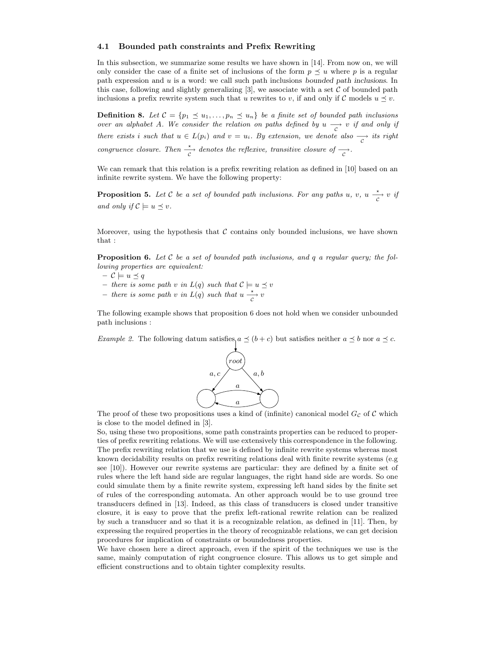#### 4.1 Bounded path constraints and Prefix Rewriting

In this subsection, we summarize some results we have shown in [14]. From now on, we will only consider the case of a finite set of inclusions of the form  $p \prec u$  where p is a regular path expression and  $u$  is a word: we call such path inclusions bounded path inclusions. In this case, following and slightly generalizing  $[3]$ , we associate with a set C of bounded path inclusions a prefix rewrite system such that u rewrites to v, if and only if C models  $u \preceq v$ .

**Definition 8.** Let  $C = \{p_1 \leq u_1, \ldots, p_n \leq u_n\}$  be a finite set of bounded path inclusions over an alphabet A. We consider the relation on paths defined by  $u \rightarrow c$  if and only if there exists i such that  $u \in L(p_i)$  and  $v = u_i$ . By extension, we denote also  $\frac{\longrightarrow}{c}$  its right congruence closure. Then  $\frac{\star}{c}$  denotes the reflexive, transitive closure of  $\frac{\star}{c}$ .

We can remark that this relation is a prefix rewriting relation as defined in [10] based on an infinite rewrite system. We have the following property:

**Proposition 5.** Let C be a set of bounded path inclusions. For any paths u, v, u  $\frac{\star}{c}$  v if and only if  $\mathcal{C} \models u \preceq v$ .

Moreover, using the hypothesis that  $\mathcal C$  contains only bounded inclusions, we have shown that :

**Proposition 6.** Let C be a set of bounded path inclusions, and q a regular query; the following properties are equivalent:

- $C \models u \preceq q$
- there is some path v in  $L(q)$  such that  $C \models u \preceq v$
- there is some path v in  $L(q)$  such that  $u \xrightarrow[c]{*} v$

The following example shows that proposition 6 does not hold when we consider unbounded path inclusions :

*Example 2.* The following datum satisfies  $a \preceq (b + c)$  but satisfies neither  $a \preceq b$  nor  $a \preceq c$ .



The proof of these two propositions uses a kind of (infinite) canonical model  $G_{\mathcal{C}}$  of  $\mathcal{C}$  which is close to the model defined in [3].

So, using these two propositions, some path constraints properties can be reduced to properties of prefix rewriting relations. We will use extensively this correspondence in the following. The prefix rewriting relation that we use is defined by infinite rewrite systems whereas most known decidability results on prefix rewriting relations deal with finite rewrite systems (e.g see [10]). However our rewrite systems are particular: they are defined by a finite set of rules where the left hand side are regular languages, the right hand side are words. So one could simulate them by a finite rewrite system, expressing left hand sides by the finite set of rules of the corresponding automata. An other approach would be to use ground tree transducers defined in [13]. Indeed, as this class of transducers is closed under transitive closure, it is easy to prove that the prefix left-rational rewrite relation can be realized by such a transducer and so that it is a recognizable relation, as defined in [11]. Then, by expressing the required properties in the theory of recognizable relations, we can get decision procedures for implication of constraints or boundedness properties.

We have chosen here a direct approach, even if the spirit of the techniques we use is the same, mainly computation of right congruence closure. This allows us to get simple and efficient constructions and to obtain tighter complexity results.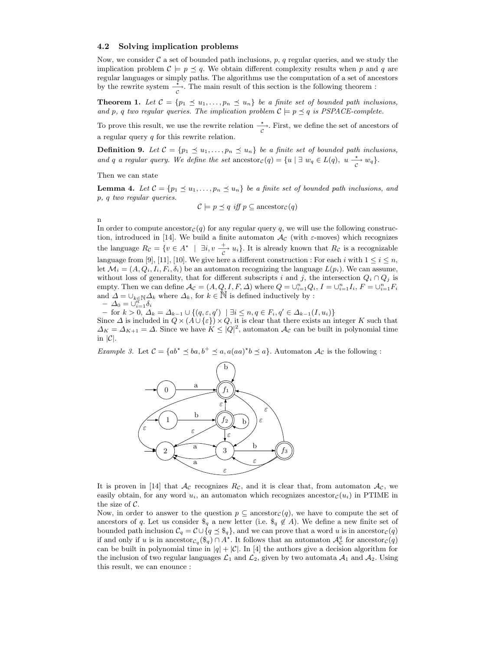#### 4.2 Solving implication problems

Now, we consider  $\mathcal C$  a set of bounded path inclusions, p, q regular queries, and we study the implication problem  $\mathcal{C} \models p \preceq q$ . We obtain different complexity results when p and q are regular languages or simply paths. The algorithms use the computation of a set of ancestors by the rewrite system  $\frac{1}{c}$ . The main result of this section is the following theorem :

**Theorem 1.** Let  $C = \{p_1 \leq u_1, \ldots, p_n \leq u_n\}$  be a finite set of bounded path inclusions, and p, q two regular queries. The implication problem  $C \models p \preceq q$  is PSPACE-complete.

To prove this result, we use the rewrite relation  $\frac{1}{c}$ . First, we define the set of ancestors of a regular query  $q$  for this rewrite relation.

**Definition 9.** Let  $C = \{p_1 \leq u_1, \ldots, p_n \leq u_n\}$  be a finite set of bounded path inclusions, and q a regular query. We define the set ancestor  $c(q) = \{u \mid \exists w_q \in L(q), u \stackrel{\star}{\underset{C}{\longrightarrow}} w_q\}.$ 

Then we can state

**Lemma 4.** Let  $C = \{p_1 \leq u_1, \ldots, p_n \leq u_n\}$  be a finite set of bounded path inclusions, and p, q two regular queries.

$$
\mathcal{C} \models p \preceq q \text{ iff } p \subseteq \text{ancestor}_{\mathcal{C}}(q)
$$

n

In order to compute ancestor $c(q)$  for any regular query q, we will use the following construction, introduced in [14]. We build a finite automaton  $\mathcal{A}_{\mathcal{C}}$  (with  $\varepsilon$ -moves) which recognizes the language  $R_{\mathcal{C}} = \{v \in A^* \mid \exists i, v \stackrel{+}{\underset{C}{\longrightarrow}} u_i\}.$  It is already known that  $R_{\mathcal{C}}$  is a recognizable language from [9], [11], [10]. We give here a different construction : For each i with  $1 \le i \le n$ , let  $\mathcal{M}_i = (A, Q_i, I_i, F_i, \delta_i)$  be an automaton recognizing the language  $L(p_i)$ . We can assume, without loss of generality, that for different subscripts i and j, the intersection  $Q_i \cap Q_j$  is empty. Then we can define  $\mathcal{A}_{\mathcal{C}} = (A, Q, I, F, \Delta)$  where  $Q = \bigcup_{i=1}^{n} Q_i$ ,  $I = \bigcup_{i=1}^{n} I_i$ ,  $F = \bigcup_{i=1}^{n} F_i$ and  $\Delta = \bigcup_{k \in \mathbb{N}} \Delta_k$  where  $\Delta_k$ , for  $k \in \mathbb{N}$  is defined inductively by :  $-\Delta_0=\bigcup_{i=1}^{n+1}\delta_i$ 

 $-$  for  $k > 0$ ,  $\Delta_k = \Delta_{k-1} \cup \{(q, \varepsilon, q') \mid \exists i \leq n, q \in F_i, q' \in \Delta_{k-1}(I, u_i)\}\$ 

Since  $\Delta$  is included in  $Q \times (A \cup {\varepsilon}) \times Q$ , it is clear that there exists an integer K such that  $\Delta_K = \Delta_{K+1} = \Delta$ . Since we have  $K \leq |Q|^2$ , automaton  $\mathcal{A}_{\mathcal{C}}$  can be built in polynomial time in  $|\mathcal{C}|$ .

*Example 3.* Let  $C = \{ab^* \le ba, b^+ \le a, a(aa)^*b \le a\}$ . Automaton  $A_c$  is the following :



It is proven in [14] that  $\mathcal{A}_{\mathcal{C}}$  recognizes  $R_{\mathcal{C}}$ , and it is clear that, from automaton  $\mathcal{A}_{\mathcal{C}}$ , we easily obtain, for any word  $u_i$ , an automaton which recognizes ancestor<sub>c</sub> $(u_i)$  in PTIME in the size of  $C$ .

Now, in order to answer to the question  $p \subseteq \text{ancestor}_\mathcal{C}(q)$ , we have to compute the set of ancestors of q. Let us consider  $\mathcal{S}_q$  a new letter (i.e.  $\mathcal{S}_q \notin A$ ). We define a new finite set of bounded path inclusion  $C_q = C \cup \{q \leq \hat{\mathfrak{s}}_q\}$ , and we can prove that a word u is in ancestor  $c(q)$ if and only if u is in ancestor $c_q$  $(\hat{\mathbb{S}}_q) \cap A^*$ . It follows that an automaton  $\mathcal{A}_{\mathcal{C}}^q$  for ancestor $c(q)$ can be built in polynomial time in  $|q| + |\mathcal{C}|$ . In [4] the authors give a decision algorithm for the inclusion of two regular languages  $\mathcal{L}_1$  and  $\mathcal{L}_2$ , given by two automata  $\mathcal{A}_1$  and  $\mathcal{A}_2$ . Using this result, we can enounce :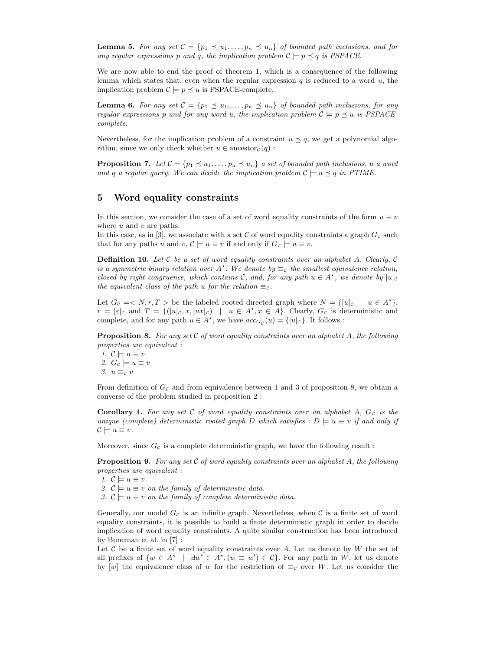**Lemma 5.** For any set  $\mathcal{C} = \{p_1 \leq u_1, \ldots, p_n \leq u_n\}$  of bounded path inclusions, and for any regular expressions p and q, the implication problem  $\mathcal{C} \models p \preceq q$  is PSPACE.

We are now able to end the proof of theorem 1, which is a consequence of the following lemma which states that, even when the regular expression  $q$  is reduced to a word  $u$ , the implication problem  $C \models p \preceq u$  is PSPACE-complete.

**Lemma 6.** For any set  $C = \{p_1 \leq u_1, \ldots, p_n \leq u_n\}$  of bounded path inclusions, for any regular expressions p and for any word u, the implication problem  $C \models p \preceq u$  is PSPACEcomplete.

Nevertheless, for the implication problem of a constraint  $u \preceq q$ , we get a polynomial algorithm, since we only check whether  $u \in \text{ancestor}_{\mathcal{C}}(q)$ :

**Proposition 7.** Let  $\mathcal{C} = \{p_1 \leq u_1, \ldots, p_n \leq u_n\}$  a set of bounded path inclusions, u a word and q a regular query. We can decide the implication problem  $\mathcal{C} \models u \preceq q$  in PTIME.

### 5 Word equality constraints

In this section, we consider the case of a set of word equality constraints of the form  $u \equiv v$ where  $u$  and  $v$  are paths.

In this case, as in [3], we associate with a set  $C$  of word equality constraints a graph  $G_c$  such that for any paths u and  $v, \mathcal{C} \models u \equiv v$  if and only if  $G_c \models u \equiv v$ .

**Definition 10.** Let C be a set of word equality constraints over an alphabet A. Clearly, C is a symmetric binary relation over  $A^*$ . We denote by  $\equiv_c$  the smallest equivalence relation, closed by right congruence, which contains C, and, for any path  $u \in A^*$ , we denote by  $[u]_c$ the equivalent class of the path u for the relation  $\equiv_c$ .

Let  $G_c \leq N, r, T >$  be the labeled rooted directed graph where  $N = \{ [u]_c \mid u \in A^{\star} \},$  $r = [\varepsilon]_c$  and  $T = \{([u]_c, x, [ux]_c) \mid u \in A^{\star}, x \in A\}$ . Clearly,  $G_c$  is deterministic and complete, and for any path  $u \in A^*$ , we have  $acc_{G_C}(u) = \{ [u]_C \}$ . It follows :

**Proposition 8.** For any set C of word equality constraints over an alphabet A, the following properties are equivalent :

1.  $\mathcal{C} \models u \equiv v$ 2.  $G_c \models u \equiv v$ 3.  $u \equiv_{\mathcal{C}} v$ 

From definition of  $G_c$  and from equivalence between 1 and 3 of proposition 8, we obtain a converse of the problem studied in proposition 2 :

**Corollary 1.** For any set C of word equality constraints over an alphabet A,  $G_c$  is the unique (complete) deterministic rooted graph D which satisfies :  $D \models u \equiv v$  if and only if  $\mathcal{C} \models u \equiv v.$ 

Moreover, since  $G_c$  is a complete deterministic graph, we have the following result :

**Proposition 9.** For any set C of word equality constraints over an alphabet A, the following properties are equivalent :

1.  $\mathcal{C} \models u \equiv v$ . 2.  $\mathcal{C} \models u \equiv v$  on the family of deterministic data. 3.  $\mathcal{C} \models u \equiv v$  on the family of complete deterministic data. Generally, our model  $G_c$  is an infinite graph. Nevertheless, when C is a finite set of word

equality constraints, it is possible to build a finite deterministic graph in order to decide implication of word equality constraints. A quite similar construction has been introduced by Buneman et al. in [7] :

Let  $\mathcal C$  be a finite set of word equality constraints over  $A$ . Let us denote by  $W$  the set of all prefixes of  $\{w \in A^* \mid \exists w' \in A^*, (w \equiv w') \in C\}$ . For any path in W, let us denote by [w] the equivalence class of w for the restriction of  $\equiv_{\mathcal{C}}$  over W. Let us consider the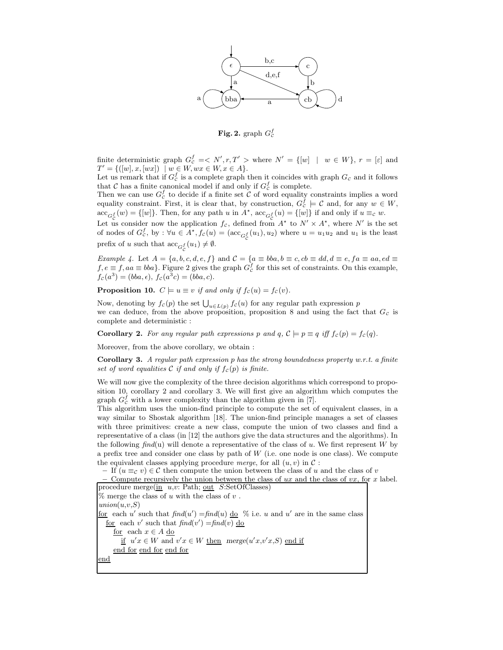

Fig. 2. graph  $G_c^f$ 

finite deterministic graph  $G_c^f = \langle N', r, T' \rangle$  where  $N' = \{ [w] \mid w \in W \}$ ,  $r = [\varepsilon]$  and  $T' = \{([w], x, [wx]) \mid w \in W, wx \in W, x \in A\}.$ 

Let us remark that if  $G_c^f$  is a complete graph then it coincides with graph  $G_c$  and it follows that C has a finite canonical model if and only if  $G_c^f$  is complete.

Then we can use  $G_c^f$  to decide if a finite set  $\tilde{\mathcal{C}}$  of word equality constraints implies a word equality constraint. First, it is clear that, by construction,  $G_c^f \models C$  and, for any  $w \in W$ ,  $\mathrm{acc}_{G_C^f}(w) = \{ [w] \}.$  Then, for any path u in  $A^*$ ,  $\mathrm{acc}_{G_C^f}(u) = \{ [w] \}$  if and only if  $u \equiv_c w$ .

Let us consider now the application  $f_c$ , defined from  $A^*$  to  $N' \times A^*$ , where  $N'$  is the set of nodes of  $G_c^f$ , by :  $\forall u \in A^*$ ,  $f_c(u) = (\text{acc}_{G_c^f}(u_1), u_2)$  where  $u = u_1u_2$  and  $u_1$  is the least prefix of u such that  $\operatorname{acc}_{G_C^f}(u_1) \neq \emptyset$ .

Example 4. Let  $A = \{a, b, c, d, e, f\}$  and  $C = \{a \equiv bba, b \equiv c, cb \equiv dd, d \equiv e, fa \equiv aa, ed \equiv a\}$  $f, e \equiv f, aa \equiv bba$ . Figure 2 gives the graph  $G_c^f$  for this set of constraints. On this example,  $f_c(a^3) = (bba, \epsilon), f_c(a^3c) = (bba, c).$ 

**Proposition 10.**  $C \models u \equiv v$  if and only if  $f_c(u) = f_c(v)$ .

Now, denoting by  $f_c(p)$  the set  $\bigcup_{u \in L(p)} f_c(u)$  for any regular path expression p we can deduce, from the above proposition, proposition 8 and using the fact that  $G_c$  is complete and deterministic :

**Corollary 2.** For any regular path expressions p and q,  $C \models p \equiv q$  iff  $f_c(p) = f_c(q)$ .

Moreover, from the above corollary, we obtain :

**Corollary 3.** A regular path expression p has the strong boundedness property w.r.t. a finite set of word equalities  $C$  if and only if  $f_c(p)$  is finite.

We will now give the complexity of the three decision algorithms which correspond to proposition 10, corollary 2 and corollary 3. We will first give an algorithm which computes the graph  $G_c^f$  with a lower complexity than the algorithm given in [7].

This algorithm uses the union-find principle to compute the set of equivalent classes, in a way similar to Shostak algorithm [18]. The union-find principle manages a set of classes with three primitives: create a new class, compute the union of two classes and find a representative of a class (in [12] the authors give the data structures and the algorithms). In the following find(u) will denote a representative of the class of u. We first represent W by a prefix tree and consider one class by path of  $W$  (i.e. one node is one class). We compute the equivalent classes applying procedure *merge*, for all  $(u, v)$  in  $\mathcal{C}$ :

– If  $(u \equiv_{\mathcal{C}} v) \in \mathcal{C}$  then compute the union between the class of u and the class of v

– Compute recursively the union between the class of ux and the class of  $vx$ , for x label. procedure merge $(\underline{\text{in}} \ u,v: \text{Path}; \underline{\text{out}} \ S:\text{SetOfClasses})$  $\%$  merge the class of u with the class of v.  $union(u,v,S)$ for each u' such that  $\text{find}(u') = \text{find}(u)$  do  $\%$  i.e. u and u' are in the same class for each v' such that  $find(v') = find(v)$  do for each  $x\in A$  do if  $u'x \in W$  and  $v'x \in W$  then merge $(u'x,v'x,S)$  end if end for end for end for

end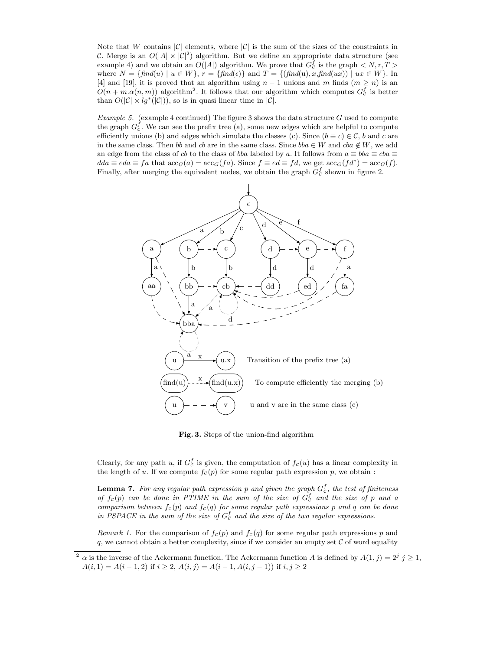Note that W contains  $|\mathcal{C}|$  elements, where  $|\mathcal{C}|$  is the sum of the sizes of the constraints in C. Merge is an  $O(|A| \times |\mathcal{C}|^2)$  algorithm. But we define an appropriate data structure (see example 4) and we obtain an  $O(|A|)$  algorithm. We prove that  $G_c^f$  is the graph  $\langle N, r, T \rangle$ where  $N = \{ \text{find}(u) \mid u \in W \}$ ,  $r = \{ \text{find}(\epsilon) \}$  and  $T = \{ \text{find}(u), x, \text{find}(ux) \mid ux \in W \}$ . In [4] and [19], it is proved that an algorithm using  $n-1$  unions and m finds  $(m \ge n)$  is an  $O(n + m \alpha(n, m))$  algorithm<sup>2</sup>. It follows that our algorithm which computes  $G_c^f$  is better than  $O(|\mathcal{C}| \times lg^*(|\mathcal{C}|))$ , so is in quasi linear time in  $|\mathcal{C}|$ .

*Example 5.* (example 4 continued) The figure 3 shows the data structure  $G$  used to compute the graph  $G_c^f$ . We can see the prefix tree (a), some new edges which are helpful to compute efficiently unions (b) and edges which simulate the classes (c). Since  $(b \equiv c) \in C$ , b and c are in the same class. Then bb and cb are in the same class. Since  $bba \in W$  and  $cba \notin W$ , we add an edge from the class of cb to the class of bba labeled by a. It follows from  $a \equiv bba \equiv cba \equiv$  $dda \equiv eda \equiv fa$  that  $\mathrm{acc}_G(a) = \mathrm{acc}_G(fa)$ . Since  $f \equiv ed \equiv fd$ , we get  $\mathrm{acc}_G(fd^*) = \mathrm{acc}_G(f)$ . Finally, after merging the equivalent nodes, we obtain the graph  $G_c^f$  shown in figure 2.



Fig. 3. Steps of the union-find algorithm

Clearly, for any path u, if  $G_c^f$  is given, the computation of  $f_c(u)$  has a linear complexity in the length of u. If we compute  $f_c(p)$  for some regular path expression p, we obtain :

**Lemma 7.** For any regular path expression p and given the graph  $G_c^f$ , the test of finiteness of  $f_c(p)$  can be done in PTIME in the sum of the size of  $G_c^f$  and the size of p and a comparison between  $f_c(p)$  and  $f_c(q)$  for some regular path expressions p and q can be done in PSPACE in the sum of the size of  $G_c^f$  and the size of the two regular expressions.

Remark 1. For the comparison of  $f_c(p)$  and  $f_c(q)$  for some regular path expressions p and q, we cannot obtain a better complexity, since if we consider an empty set  $\mathcal C$  of word equality

<sup>&</sup>lt;sup>2</sup>  $\alpha$  is the inverse of the Ackermann function. The Ackermann function A is defined by  $A(1, j) = 2^j j \ge 1$ ,  $A(i, 1) = A(i - 1, 2)$  if  $i \ge 2$ ,  $A(i, j) = A(i - 1, A(i, j - 1))$  if  $i, j \ge 2$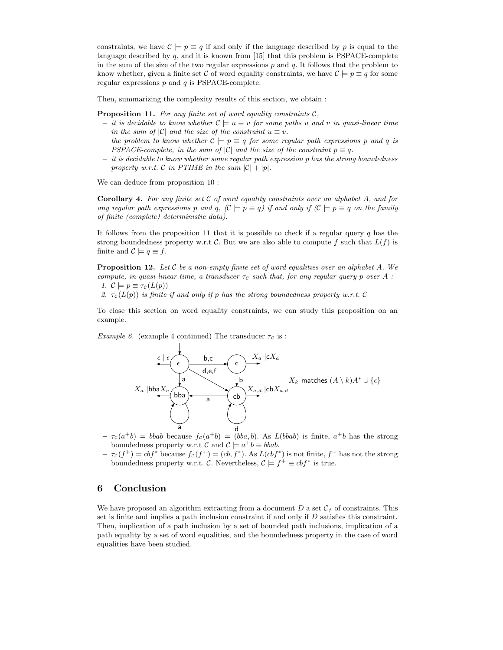constraints, we have  $\mathcal{C} \models p \equiv q$  if and only if the language described by p is equal to the language described by  $q$ , and it is known from [15] that this problem is PSPACE-complete in the sum of the size of the two regular expressions  $p$  and  $q$ . It follows that the problem to know whether, given a finite set C of word equality constraints, we have  $\mathcal{C} \models p \equiv q$  for some regular expressions  $p$  and  $q$  is PSPACE-complete.

Then, summarizing the complexity results of this section, we obtain :

**Proposition 11.** For any finite set of word equality constraints  $C$ ,

- it is decidable to know whether  $\mathcal{C}$   $\models u \equiv v$  for some paths u and v in quasi-linear time in the sum of  $|C|$  and the size of the constraint  $u \equiv v$ .
- the problem to know whether  $C \models p \equiv q$  for some regular path expressions p and q is PSPACE-complete, in the sum of  $|C|$  and the size of the constraint  $p \equiv q$ .
- it is decidable to know whether some regular path expression p has the strong boundedness property w.r.t. C in PTIME in the sum  $|\mathcal{C}| + |p|$ .

We can deduce from proposition 10 :

**Corollary 4.** For any finite set  $C$  of word equality constraints over an alphabet  $A$ , and for any regular path expressions p and q,  $(C \models p \equiv q)$  if and only if  $(C \models p \equiv q$  on the family of finite (complete) deterministic data).

It follows from the proposition 11 that it is possible to check if a regular query  $q$  has the strong boundedness property w.r.t C. But we are also able to compute f such that  $L(f)$  is finite and  $\mathcal{C} \models q \equiv f$ .

**Proposition 12.** Let C be a non-empty finite set of word equalities over an alphabet A. We compute, in quasi linear time, a transducer  $\tau_c$  such that, for any regular query p over A : 1.  $\mathcal{C} \models p \equiv \tau_c(L(p))$ 

2.  $\tau_c(L(p))$  is finite if and only if p has the strong boundedness property w.r.t. C

To close this section on word equality constraints, we can study this proposition on an example.

Example 6. (example 4 continued) The transducer  $\tau_c$  is :



- $-\tau_c(a^+b) = bbab$  because  $f_c(a^+b) = (bba, b)$ . As  $L(bbab)$  is finite,  $a^+b$  has the strong boundedness property w.r.t C and  $C \models a^+b \equiv bbab$ .
- $-\tau_c(f^+) = cbf^*$  because  $f_c(f^+) = (cb, f^*)$ . As  $L(cbf^*)$  is not finite,  $f^+$  has not the strong boundedness property w.r.t. C. Nevertheless,  $C \models f^+ \equiv cbf^*$  is true.

## 6 Conclusion

We have proposed an algorithm extracting from a document D a set  $\mathcal{C}_f$  of constraints. This set is finite and implies a path inclusion constraint if and only if  $D$  satisfies this constraint. Then, implication of a path inclusion by a set of bounded path inclusions, implication of a path equality by a set of word equalities, and the boundedness property in the case of word equalities have been studied.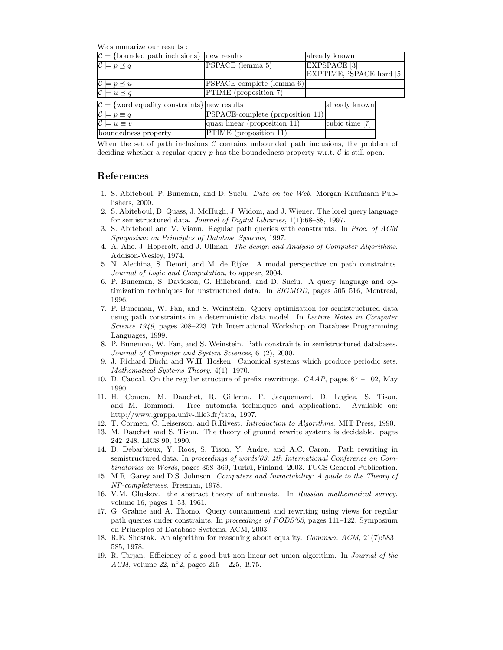We summarize our results :

| $C = \{bounded path inclusions\}$ new results                     |                                  | already known            |  |
|-------------------------------------------------------------------|----------------------------------|--------------------------|--|
| $\mathcal{C} \models p \preceq q$                                 | PSPACE (lemma 5)                 | EXPSPACE <sup>[3]</sup>  |  |
|                                                                   |                                  | EXPTIME, PSPACE hard [5] |  |
| $\mathcal{C} \models p \prec u$                                   | PSPACE-complete (lemma 6)        |                          |  |
| $\mathcal{C} \models u \preceq q$                                 | PTIME (proposition 7)            |                          |  |
| $\mathcal{C} = \{\text{word equality constraints}\}\$ new results |                                  | already known            |  |
| $\mathcal{C} \models p \equiv q$                                  | PSPACE-complete (proposition 11) |                          |  |
| $\mathcal{C} \models u \equiv v$                                  | quasi linear (proposition 11)    | cubic time [7]           |  |
| boundedness property                                              | PTIME (proposition 11)           |                          |  |

When the set of path inclusions  $\mathcal C$  contains unbounded path inclusions, the problem of deciding whether a regular query  $p$  has the boundedness property w.r.t.  $\mathcal C$  is still open.

## References

- 1. S. Abiteboul, P. Buneman, and D. Suciu. Data on the Web. Morgan Kaufmann Publishers, 2000.
- 2. S. Abiteboul, D. Quass, J. McHugh, J. Widom, and J. Wiener. The lorel query language for semistructured data. Journal of Digital Libraries, 1(1):68–88, 1997.
- 3. S. Abiteboul and V. Vianu. Regular path queries with constraints. In Proc. of ACM Symposium on Principles of Database Systems, 1997.
- 4. A. Aho, J. Hopcroft, and J. Ullman. The design and Analysis of Computer Algorithms. Addison-Wesley, 1974.
- 5. N. Alechina, S. Demri, and M. de Rijke. A modal perspective on path constraints. Journal of Logic and Computation, to appear, 2004.
- 6. P. Buneman, S. Davidson, G. Hillebrand, and D. Suciu. A query language and optimization techniques for unstructured data. In SIGMOD, pages 505–516, Montreal, 1996.
- 7. P. Buneman, W. Fan, and S. Weinstein. Query optimization for semistructured data using path constraints in a deterministic data model. In Lecture Notes in Computer Science 1949, pages 208–223. 7th International Workshop on Database Programming Languages, 1999.
- 8. P. Buneman, W. Fan, and S. Weinstein. Path constraints in semistructured databases. Journal of Computer and System Sciences, 61(2), 2000.
- 9. J. Richard Büchi and W.H. Hosken. Canonical systems which produce periodic sets. Mathematical Systems Theory, 4(1), 1970.
- 10. D. Caucal. On the regular structure of prefix rewritings. CAAP, pages 87 102, May 1990.
- 11. H. Comon, M. Dauchet, R. Gilleron, F. Jacquemard, D. Lugiez, S. Tison, and M. Tommasi. Tree automata techniques and applications. Available on: http://www.grappa.univ-lille3.fr/tata, 1997.
- 12. T. Cormen, C. Leiserson, and R.Rivest. Introduction to Algorithms. MIT Press, 1990.
- 13. M. Dauchet and S. Tison. The theory of ground rewrite systems is decidable. pages 242–248. LICS 90, 1990.
- 14. D. Debarbieux, Y. Roos, S. Tison, Y. Andre, and A.C. Caron. Path rewriting in semistructured data. In proceedings of words'03: 4th International Conference on Com $binatorics$  on Words, pages  $358-369$ , Turkü, Finland, 2003. TUCS General Publication.
- 15. M.R. Garey and D.S. Johnson. Computers and Intractability: A guide to the Theory of NP-completeness. Freeman, 1978.
- 16. V.M. Gluskov. the abstract theory of automata. In Russian mathematical survey, volume 16, pages 1–53, 1961.
- 17. G. Grahne and A. Thomo. Query containment and rewriting using views for regular path queries under constraints. In proceedings of PODS'03, pages 111–122. Symposium on Principles of Database Systems, ACM, 2003.
- 18. R.E. Shostak. An algorithm for reasoning about equality. Commun. ACM, 21(7):583– 585, 1978.
- 19. R. Tarjan. Efficiency of a good but non linear set union algorithm. In Journal of the ACM, volume 22,  $n^{\circ}2$ , pages  $215 - 225$ , 1975.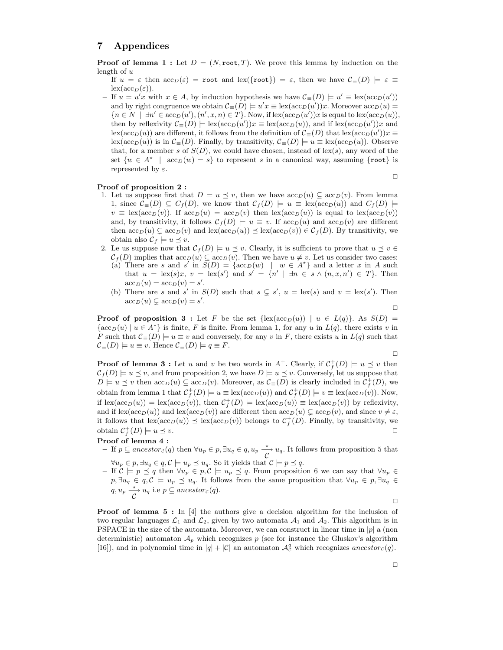## 7 Appendices

**Proof of lemma 1 :** Let  $D = (N, \text{root}, T)$ . We prove this lemma by induction on the length of  $u$ 

- If  $u = \varepsilon$  then  $\operatorname{acc}_D(\varepsilon) = \operatorname{root}$  and  $\operatorname{lex}(\{\text{root}\}) = \varepsilon$ , then we have  $\mathcal{C}_{\equiv}(D) \models \varepsilon \equiv$  $\operatorname{lex}(\operatorname{acc}_D(\varepsilon)).$
- If  $u = u'x$  with  $x \in A$ , by induction hypothesis we have  $\mathcal{C}$ <sub>≡</sub>(D)  $\models u' \equiv \text{lex}(\text{acc}_D(u'))$ and by right congruence we obtain  $\mathcal{C}_{\equiv}(D) \models u'x \equiv \text{lex}(\text{acc}_D(u'))x$ . Moreover  $\text{acc}_D(u) =$  ${n \in N \mid \exists n' \in acc_D(u'), (n', x, n) \in T}$ . Now, if  $lex(acc_D(u'))x$  is equal to  $lex(acc_D(u)),$ then by reflexivity  $\mathcal{C}_{\equiv}(D) \models \text{lex}(\text{acc}_D(u'))x \equiv \text{lex}(\text{acc}_D(u))$ , and if  $\text{lex}(\text{acc}_D(u'))x$  and lex(acc<sub>D</sub>(u)) are different, it follows from the definition of  $C_{\equiv}(D)$  that lex(acc<sub>D</sub>(u'))x  $\equiv$ lex(acc<sub>D</sub>(u)) is in  $\mathcal{C}$ ≡(D). Finally, by transitivity,  $\mathcal{C}$ ≡(D) = u ≡ lex(acc<sub>D</sub>(u)). Observe that, for a member s of  $S(D)$ , we could have chosen, instead of lex(s), any word of the set  $\{w \in A^* \mid acc_D(w) = s\}$  to represent s in a canonical way, assuming  $\{\texttt{root}\}$  is represented by  $\varepsilon$ .  $\Box$

#### Proof of proposition 2 :

- 1. Let us suppose first that  $D \models u \preceq v$ , then we have  $\mathrm{acc}_D(u) \subseteq \mathrm{acc}_D(v)$ . From lemma 1, since  $\mathcal{C}_{\equiv}(D) \subseteq C_f(D)$ , we know that  $\mathcal{C}_f(D) \models u \equiv \text{lex}(\text{acc}_D(u))$  and  $C_f(D) \models$  $v \equiv \text{lex}(\text{acc}_D(v))$ . If  $\text{acc}_D(u) = \text{acc}_D(v)$  then  $\text{lex}(\text{acc}_D(u))$  is equal to  $\text{lex}(\text{acc}_D(v))$ and, by transitivity, it follows  $\mathcal{C}_f(D) \models u \equiv v$ . If  $\mathrm{acc}_D(u)$  and  $\mathrm{acc}_D(v)$  are different then  $\operatorname{acc}_D(u) \subsetneq \operatorname{acc}_D(v)$  and  $\operatorname{lex}(\operatorname{acc}_D(u)) \leq \operatorname{lex}(\operatorname{acc}_D(v)) \in C_f(D)$ . By transitivity, we obtain also  $\mathcal{C}_f \models u \preceq v$ .
- 2. Le us suppose now that  $\mathcal{C}_f(D) \models u \preceq v$ . Clearly, it is sufficient to prove that  $u \preceq v \in$  $\mathcal{C}_f(D)$  implies that  $\mathrm{acc}_D(u) \subseteq \mathrm{acc}_D(v)$ . Then we have  $u \neq v$ . Let us consider two cases: (a) There are s and s' in  $S(D) = \{ \operatorname{acc}_D(w) \mid w \in A^* \}$  and a letter x in A such that  $u = \text{lex}(s)x$ ,  $v = \text{lex}(s')$  and  $s' = \{n' \mid \exists n \in s \land (n, x, n') \in T\}$ . Then  $\operatorname{acc}_D(u) = \operatorname{acc}_D(v) = s'.$ 
	- (b) There are s and s' in  $S(D)$  such that  $s \subsetneq s'$ ,  $u = \text{lex}(s)$  and  $v = \text{lex}(s')$ . Then  $\operatorname{acc}_D(u) \subsetneq \operatorname{acc}_D(v) = s'.$

**Proof of proposition 3 :** Let F be the set  $\{\text{lex}(\text{acc}_D(u)) \mid u \in L(q)\}.$  As  $S(D)$  $\{\operatorname{acc}_D(u) \mid u \in A^*\}$  is finite, F is finite. From lemma 1, for any u in  $L(q)$ , there exists v in F such that  $\mathcal{C}$ <sub>≡</sub>(D)  $\models u \equiv v$  and conversely, for any v in F, there exists u in  $L(q)$  such that  $\mathcal{C}_{\equiv}(D) \models u \equiv v$ . Hence  $\mathcal{C}_{\equiv}(D) \models q \equiv F$ .

 $\Box$ 

✷

**Proof of lemma 3 :** Let u and v be two words in  $A^+$ . Clearly, if  $C_f^+(D) \models u \preceq v$  then  $\mathcal{C}_f(D) \models u \preceq v$ , and from proposition 2, we have  $D \models u \preceq v$ . Conversely, let us suppose that  $D \models u \preceq v$  then  $\operatorname{acc}_D(u) \subseteq \operatorname{acc}_D(v)$ . Moreover, as  $\mathcal{C}_{\equiv}(D)$  is clearly included in  $\mathcal{C}_f^+(D)$ , we obtain from lemma 1 that  $C_f^+(D) \models u \equiv \text{lex}(\text{acc}_D(u))$  and  $C_f^+(D) \models v \equiv \text{lex}(\text{acc}_D(v))$ . Now, if  $\text{lex}(\text{acc}_D(u)) = \text{lex}(\text{acc}_D(v))$ , then  $\mathcal{C}_f^+(D) \models \text{lex}(\text{acc}_D(u)) \equiv \text{lex}(\text{acc}_D(v))$  by reflexivity, and if  $\text{lex}(\text{acc}_D(u))$  and  $\text{lex}(\text{acc}_D(v))$  are different then  $\text{acc}_D(u) \subsetneq \text{acc}_D(v)$ , and since  $v \neq \varepsilon$ , it follows that  $\text{lex}(\text{acc}_D(u)) \preceq \text{lex}(\text{acc}_D(v))$  belongs to  $C_f^+(D)$ . Finally, by transitivity, we obtain  $\mathcal{C}_f^+(D) \models u \preceq v.$ 

### Proof of lemma 4 :

- $-$  If  $p \subseteq$  ancestor<sub>c</sub>(q) then  $\forall u_p \in p$ ,  $\exists u_q \in q$ ,  $u_p \xrightarrow{\star} u_q$ . It follows from proposition 5 that  $\forall u_p \in p, \exists u_q \in q, \mathcal{C} \models u_p \preceq u_q.$  So it yields that  $\mathcal{C} \models p \preceq q.$
- If  $C \models p \preceq q$  then  $\forall u_p \in p, C \models u_p \preceq q$ . From proposition 6 we can say that  $\forall u_p \in$  $p, \exists u_q \in q, \mathcal{C} \models u_p \preceq u_q$ . It follows from the same proposition that  $\forall u_p \in p, \exists u_q \in \mathcal{C}$  $q, u_p \xrightarrow{\star} u_q$  i.e  $p \subseteq$  ancestor<sub>c</sub>(q).

 $\Box$ 

**Proof of lemma 5 :** In  $[4]$  the authors give a decision algorithm for the inclusion of two regular languages  $\mathcal{L}_1$  and  $\mathcal{L}_2$ , given by two automata  $\mathcal{A}_1$  and  $\mathcal{A}_2$ . This algorithm is in PSPACE in the size of the automata. Moreover, we can construct in linear time in  $|p|$  a (non deterministic) automaton  $\mathcal{A}_p$  which recognizes p (see for instance the Gluskov's algorithm [16]), and in polynomial time in  $|q| + |\mathcal{C}|$  an automaton  $\mathcal{A}_{\mathcal{C}}^q$  which recognizes ancestor<sub>c</sub>(q).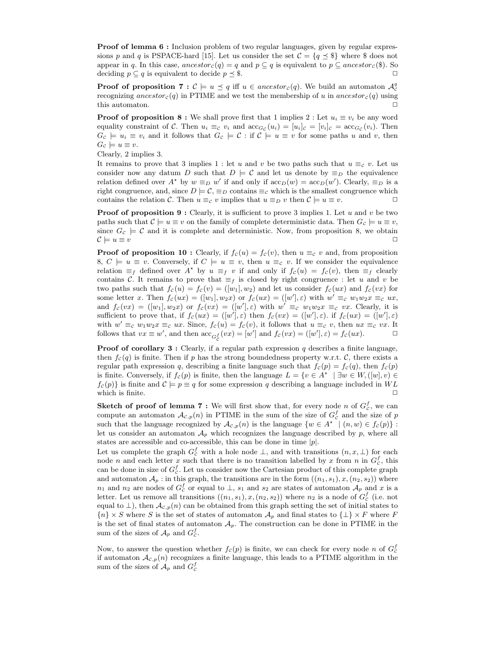**Proof of lemma 6 :** Inclusion problem of two regular languages, given by regular expressions p and q is PSPACE-hard [15]. Let us consider the set  $C = \{q \leq \$\}$  where  $\$\right]$  does not appear in q. In this case,  $\text{ancestor}_c(q) = q$  and  $p \subseteq q$  is equivalent to  $p \subseteq \text{ancestor}_c(\text{\$})$ . So deciding  $p \subseteq q$  is equivalent to decide  $p \preceq \$$ .

**Proof of proposition 7** :  $\mathcal{C} \models u \preceq q$  iff  $u \in ancestor_{\mathcal{C}}(q)$ . We build an automaton  $\mathcal{A}_{\mathcal{C}}^q$ recognizing ancestor<sub>c</sub>(q) in PTIME and we test the membership of u in ancestor<sub>c</sub>(q) using this automaton.

**Proof of proposition 8 :** We shall prove first that 1 implies 2 : Let  $u_i \equiv v_i$  be any word equality constraint of C. Then  $u_i \equiv_c v_i$  and  $\operatorname{acc}_{G_c}(u_i) = [u_i]_c = \operatorname{acc}_{G_c}(v_i)$ . Then  $G_c \models u_i \equiv v_i$  and it follows that  $G_c \models \mathcal{C}$ : if  $\mathcal{C} \models u \equiv v$  for some paths u and v, then  $G_c \models u \equiv v.$ 

Clearly, 2 implies 3.

It remains to prove that 3 implies 1 : let u and v be two paths such that  $u \equiv_c v$ . Let us consider now any datum D such that  $D \models C$  and let us denote by  $\equiv_D$  the equivalence relation defined over  $A^*$  by  $w \equiv_D w'$  if and only if  $acc_D(w) = acc_D(w')$ . Clearly,  $\equiv_D$  is a right congruence, and, since  $D \models C$ ,  $\equiv_D$  contains  $\equiv_C$  which is the smallest congruence which contains the relation C. Then  $u \equiv_c v$  implies that  $u \equiv_D v$  then  $\mathcal{C} \models u \equiv v$ .

**Proof of proposition 9 :** Clearly, it is sufficient to prove 3 implies 1. Let  $u$  and  $v$  be two paths such that  $\mathcal{C} \models u \equiv v$  on the family of complete deterministic data. Then  $G_{\mathcal{C}} \models u \equiv v$ , since  $G_c \models \mathcal{C}$  and it is complete and deterministic. Now, from proposition 8, we obtain  $\mathcal{C} \models u \equiv v$ 

**Proof of proposition 10 :** Clearly, if  $f_c(u) = f_c(v)$ , then  $u \equiv_c v$  and, from proposition 8,  $C \models u \equiv v$ . Conversely, if  $C \models u \equiv v$ , then  $u \equiv c v$ . If we consider the equivalence relation  $\equiv_f$  defined over  $A^*$  by  $u \equiv_f v$  if and only if  $f_c(u) = f_c(v)$ , then  $\equiv_f$  clearly contains C. It remains to prove that  $\equiv_f$  is closed by right congruence : let u and v be two paths such that  $f_c (u) = f_c (v) = ([w_1], w_2)$  and let us consider  $f_c (ux)$  and  $f_c (vx)$  for some letter x. Then  $f_c(ux) = ([w_1], w_2x)$  or  $f_c(ux) = ([w'], \varepsilon)$  with  $w' \equiv_c w_1w_2x \equiv_c ux$ , and  $f_c(vx) = ([w_1], w_2x)$  or  $f_c(vx) = ([w'], \varepsilon)$  with  $w' \equiv_c w_1w_2x \equiv_c vx$ . Clearly, it is sufficient to prove that, if  $f_c(ux) = ([w'], \varepsilon)$  then  $f_c(vx) = ([w'], \varepsilon)$ . if  $f_c(ux) = ([w'], \varepsilon)$ with  $w' \equiv_c w_1w_2x \equiv_c ux$ . Since,  $f_c(u) = f_c(v)$ , it follows that  $u \equiv_c v$ , then  $ux \equiv_c vx$ . It follows that  $vx \equiv w'$ , and then  $\operatorname{acc}_{G_C^f}(vx) = [w']$  and  $f_C(vx) = ([w'], \varepsilon) = f_C(ux)$ .

**Proof of corollary 3 :** Clearly, if a regular path expression  $q$  describes a finite language, then  $f_c(q)$  is finite. Then if p has the strong boundedness property w.r.t. C, there exists a regular path expression q, describing a finite language such that  $f_c(p) = f_c(q)$ , then  $f_c(p)$ is finite. Conversely, if  $f_c(p)$  is finite, then the language  $L = \{v \in A^* \mid \exists w \in W, ([w], v) \in$  $f_c(p)$  is finite and  $C \models p \equiv q$  for some expression q describing a language included in WL which is finite.

**Sketch of proof of lemma 7 :** We will first show that, for every node n of  $G_c^f$ , we can compute an automaton  $\mathcal{A}_{c,p}(n)$  in PTIME in the sum of the size of  $G_c^f$  and the size of p such that the language recognized by  $\mathcal{A}_{c,p}(n)$  is the language  $\{w \in A^* \mid (n,w) \in f_c(p)\}$ : let us consider an automaton  $A_p$  which recognizes the language described by p, where all states are accessible and co-accessible, this can be done in time  $|p|$ .

Let us complete the graph  $G_c^f$  with a hole node  $\perp$ , and with transitions  $(n, x, \perp)$  for each node *n* and each letter x such that there is no transition labelled by x from *n* in  $G_c^f$ , this can be done in size of  $G_c^f$ . Let us consider now the Cartesian product of this complete graph and automaton  $\mathcal{A}_p$ : in this graph, the transitions are in the form  $((n_1, s_1), x, (n_2, s_2))$  where  $n_1$  and  $n_2$  are nodes of  $G_c^f$  or equal to  $\perp$ ,  $s_1$  and  $s_2$  are states of automaton  $\mathcal{A}_p$  and x is a letter. Let us remove all transitions  $((n_1, s_1), x, (n_2, s_2))$  where  $n_2$  is a node of  $G_c^f$  (i.e. not equal to  $\perp$ ), then  $\mathcal{A}_{c,p}(n)$  can be obtained from this graph setting the set of initial states to  ${n} \times S$  where S is the set of states of automaton  $A_p$  and final states to  $\{\perp\} \times F$  where F is the set of final states of automaton  $A<sub>p</sub>$ . The construction can be done in PTIME in the sum of the sizes of  $\mathcal{A}_p$  and  $G_c^f$ .

Now, to answer the question whether  $f_c(p)$  is finite, we can check for every node n of  $G_c^f$ if automaton  $\mathcal{A}_{\mathcal{C},p}(n)$  recognizes a finite language, this leads to a PTIME algorithm in the sum of the sizes of  $\mathcal{A}_p$  and  $G_c^f$